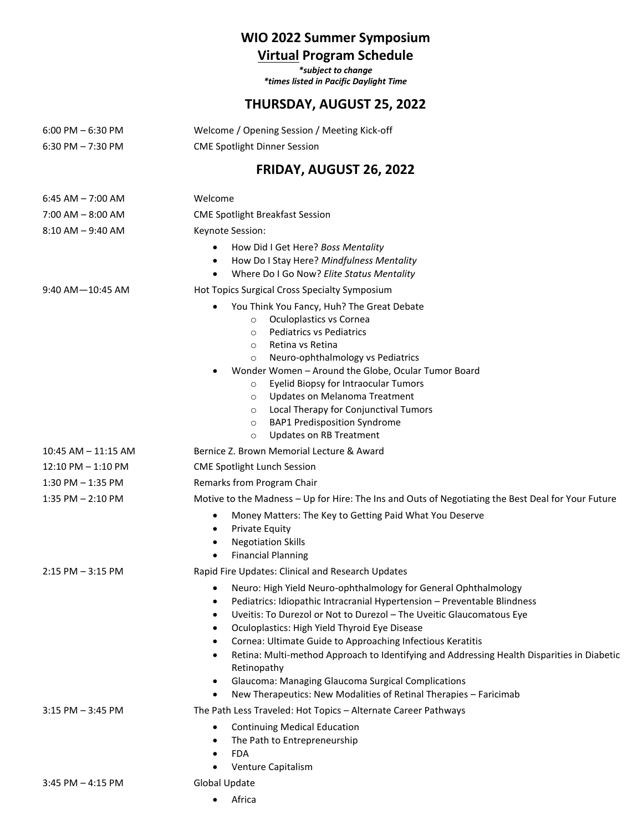# **WIO 2022 Summer Symposium**

## **Virtual Program Schedule**

*\*subject to change \*times listed in Pacific Daylight Time*

### **THURSDAY, AUGUST 25, 2022**

| $6:00$ PM $-6:30$ PM    | Welcome / Opening Session / Meeting Kick-off                                                                                                                                                                                                                                                                                                                                                                                                                                                                                                                                                                      |
|-------------------------|-------------------------------------------------------------------------------------------------------------------------------------------------------------------------------------------------------------------------------------------------------------------------------------------------------------------------------------------------------------------------------------------------------------------------------------------------------------------------------------------------------------------------------------------------------------------------------------------------------------------|
| $6:30$ PM $-7:30$ PM    | <b>CME Spotlight Dinner Session</b>                                                                                                                                                                                                                                                                                                                                                                                                                                                                                                                                                                               |
|                         | FRIDAY, AUGUST 26, 2022                                                                                                                                                                                                                                                                                                                                                                                                                                                                                                                                                                                           |
| $6:45$ AM $- 7:00$ AM   | Welcome                                                                                                                                                                                                                                                                                                                                                                                                                                                                                                                                                                                                           |
| $7:00$ AM $-$ 8:00 AM   | <b>CME Spotlight Breakfast Session</b>                                                                                                                                                                                                                                                                                                                                                                                                                                                                                                                                                                            |
| $8:10$ AM $-9:40$ AM    | Keynote Session:                                                                                                                                                                                                                                                                                                                                                                                                                                                                                                                                                                                                  |
|                         | How Did I Get Here? Boss Mentality<br>How Do I Stay Here? Mindfulness Mentality<br>$\bullet$<br>Where Do I Go Now? Elite Status Mentality<br>$\bullet$                                                                                                                                                                                                                                                                                                                                                                                                                                                            |
| $9:40$ AM $-10:45$ AM   | Hot Topics Surgical Cross Specialty Symposium                                                                                                                                                                                                                                                                                                                                                                                                                                                                                                                                                                     |
|                         | You Think You Fancy, Huh? The Great Debate<br>$\bullet$<br>Oculoplastics vs Cornea<br>$\circ$<br><b>Pediatrics vs Pediatrics</b><br>$\circ$<br>Retina vs Retina<br>$\circ$<br>Neuro-ophthalmology vs Pediatrics<br>$\circ$<br>Wonder Women - Around the Globe, Ocular Tumor Board<br>Eyelid Biopsy for Intraocular Tumors<br>$\circ$<br>Updates on Melanoma Treatment<br>$\circ$<br>Local Therapy for Conjunctival Tumors<br>$\circ$<br><b>BAP1 Predisposition Syndrome</b><br>$\circ$<br><b>Updates on RB Treatment</b><br>$\circ$                                                                               |
| $10:45$ AM $-$ 11:15 AM | Bernice Z. Brown Memorial Lecture & Award                                                                                                                                                                                                                                                                                                                                                                                                                                                                                                                                                                         |
| $12:10$ PM $- 1:10$ PM  | <b>CME Spotlight Lunch Session</b>                                                                                                                                                                                                                                                                                                                                                                                                                                                                                                                                                                                |
| $1:30$ PM $-1:35$ PM    | Remarks from Program Chair                                                                                                                                                                                                                                                                                                                                                                                                                                                                                                                                                                                        |
| $1:35$ PM $- 2:10$ PM   | Motive to the Madness - Up for Hire: The Ins and Outs of Negotiating the Best Deal for Your Future                                                                                                                                                                                                                                                                                                                                                                                                                                                                                                                |
|                         | Money Matters: The Key to Getting Paid What You Deserve<br>$\bullet$<br><b>Private Equity</b><br>$\bullet$<br><b>Negotiation Skills</b><br>٠<br><b>Financial Planning</b><br>$\bullet$                                                                                                                                                                                                                                                                                                                                                                                                                            |
| $2:15$ PM $-3:15$ PM    | Rapid Fire Updates: Clinical and Research Updates                                                                                                                                                                                                                                                                                                                                                                                                                                                                                                                                                                 |
|                         | Neuro: High Yield Neuro-ophthalmology for General Ophthalmology<br>$\bullet$<br>Pediatrics: Idiopathic Intracranial Hypertension - Preventable Blindness<br>Uveitis: To Durezol or Not to Durezol - The Uveitic Glaucomatous Eye<br>Oculoplastics: High Yield Thyroid Eye Disease<br>Cornea: Ultimate Guide to Approaching Infectious Keratitis<br>Retina: Multi-method Approach to Identifying and Addressing Health Disparities in Diabetic<br>Retinopathy<br>Glaucoma: Managing Glaucoma Surgical Complications<br>$\bullet$<br>New Therapeutics: New Modalities of Retinal Therapies - Faricimab<br>$\bullet$ |
| $3:15$ PM $-3:45$ PM    | The Path Less Traveled: Hot Topics - Alternate Career Pathways                                                                                                                                                                                                                                                                                                                                                                                                                                                                                                                                                    |
|                         | <b>Continuing Medical Education</b><br>$\bullet$<br>The Path to Entrepreneurship<br>$\bullet$<br><b>FDA</b><br>Venture Capitalism                                                                                                                                                                                                                                                                                                                                                                                                                                                                                 |
| $3:45$ PM $- 4:15$ PM   | Global Update                                                                                                                                                                                                                                                                                                                                                                                                                                                                                                                                                                                                     |

• Africa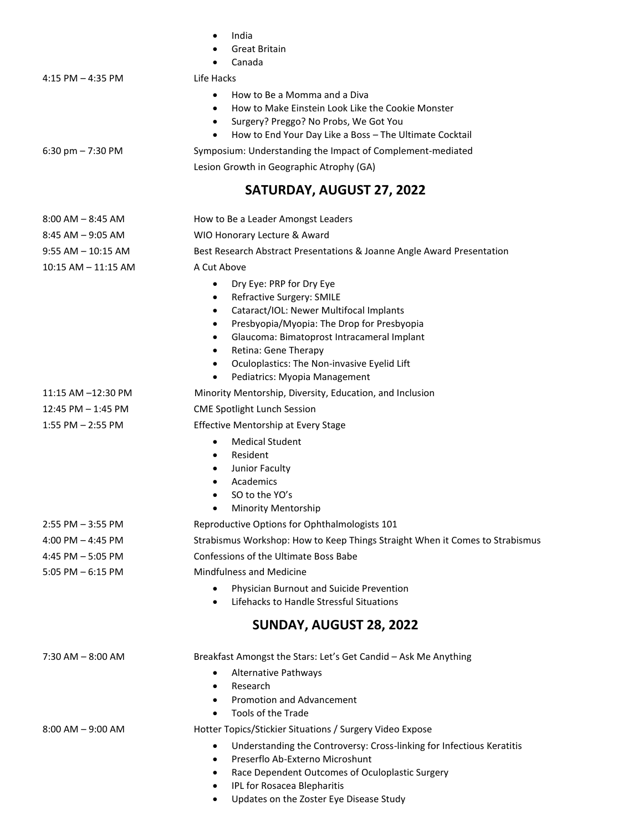|                         | India<br><b>Great Britain</b><br>Canada                                                                                                                                                                                                                                                                                                                                                                      |
|-------------------------|--------------------------------------------------------------------------------------------------------------------------------------------------------------------------------------------------------------------------------------------------------------------------------------------------------------------------------------------------------------------------------------------------------------|
| $4:15$ PM $- 4:35$ PM   | Life Hacks                                                                                                                                                                                                                                                                                                                                                                                                   |
|                         | How to Be a Momma and a Diva<br>$\bullet$<br>How to Make Einstein Look Like the Cookie Monster<br>$\bullet$<br>Surgery? Preggo? No Probs, We Got You<br>$\bullet$<br>How to End Your Day Like a Boss - The Ultimate Cocktail<br>$\bullet$                                                                                                                                                                    |
| 6:30 pm $- 7:30$ PM     | Symposium: Understanding the Impact of Complement-mediated                                                                                                                                                                                                                                                                                                                                                   |
|                         | Lesion Growth in Geographic Atrophy (GA)                                                                                                                                                                                                                                                                                                                                                                     |
|                         | SATURDAY, AUGUST 27, 2022                                                                                                                                                                                                                                                                                                                                                                                    |
| $8:00$ AM $-8:45$ AM    | How to Be a Leader Amongst Leaders                                                                                                                                                                                                                                                                                                                                                                           |
| $8:45$ AM $-9:05$ AM    | WIO Honorary Lecture & Award                                                                                                                                                                                                                                                                                                                                                                                 |
| $9:55 AM - 10:15 AM$    | Best Research Abstract Presentations & Joanne Angle Award Presentation                                                                                                                                                                                                                                                                                                                                       |
| $10:15$ AM $- 11:15$ AM | A Cut Above                                                                                                                                                                                                                                                                                                                                                                                                  |
|                         | Dry Eye: PRP for Dry Eye<br>$\bullet$<br>Refractive Surgery: SMILE<br>$\bullet$<br>Cataract/IOL: Newer Multifocal Implants<br>$\bullet$<br>Presbyopia/Myopia: The Drop for Presbyopia<br>$\bullet$<br>Glaucoma: Bimatoprost Intracameral Implant<br>$\bullet$<br>Retina: Gene Therapy<br>$\bullet$<br>Oculoplastics: The Non-invasive Eyelid Lift<br>$\bullet$<br>Pediatrics: Myopia Management<br>$\bullet$ |
| 11:15 AM -12:30 PM      | Minority Mentorship, Diversity, Education, and Inclusion                                                                                                                                                                                                                                                                                                                                                     |
| 12:45 PM - 1:45 PM      | <b>CME Spotlight Lunch Session</b>                                                                                                                                                                                                                                                                                                                                                                           |
| $1:55$ PM $- 2:55$ PM   | Effective Mentorship at Every Stage                                                                                                                                                                                                                                                                                                                                                                          |
|                         | <b>Medical Student</b><br>$\bullet$<br>Resident<br>$\bullet$<br>Junior Faculty<br>Academics<br>SO to the YO's<br><b>Minority Mentorship</b><br>$\bullet$                                                                                                                                                                                                                                                     |
| $2:55$ PM $-3:55$ PM    | Reproductive Options for Ophthalmologists 101                                                                                                                                                                                                                                                                                                                                                                |
| 4:00 PM $-$ 4:45 PM     | Strabismus Workshop: How to Keep Things Straight When it Comes to Strabismus                                                                                                                                                                                                                                                                                                                                 |
| 4:45 PM $-$ 5:05 PM     | Confessions of the Ultimate Boss Babe                                                                                                                                                                                                                                                                                                                                                                        |
| $5:05$ PM $-6:15$ PM    | <b>Mindfulness and Medicine</b>                                                                                                                                                                                                                                                                                                                                                                              |
|                         | Physician Burnout and Suicide Prevention<br>Lifehacks to Handle Stressful Situations<br>٠                                                                                                                                                                                                                                                                                                                    |
|                         | SUNDAY, AUGUST 28, 2022                                                                                                                                                                                                                                                                                                                                                                                      |
| 7:30 AM - 8:00 AM       | Breakfast Amongst the Stars: Let's Get Candid - Ask Me Anything                                                                                                                                                                                                                                                                                                                                              |
|                         | <b>Alternative Pathways</b><br>Research<br>$\bullet$<br><b>Promotion and Advancement</b><br>$\bullet$<br>Tools of the Trade<br>$\bullet$                                                                                                                                                                                                                                                                     |
| $8:00$ AM $-9:00$ AM    | Hotter Topics/Stickier Situations / Surgery Video Expose                                                                                                                                                                                                                                                                                                                                                     |
|                         | Understanding the Controversy: Cross-linking for Infectious Keratitis<br>Preserflo Ab-Externo Microshunt<br>٠<br>Race Dependent Outcomes of Oculoplastic Surgery<br>IPL for Rosacea Blepharitis<br>٠                                                                                                                                                                                                         |

• Updates on the Zoster Eye Disease Study